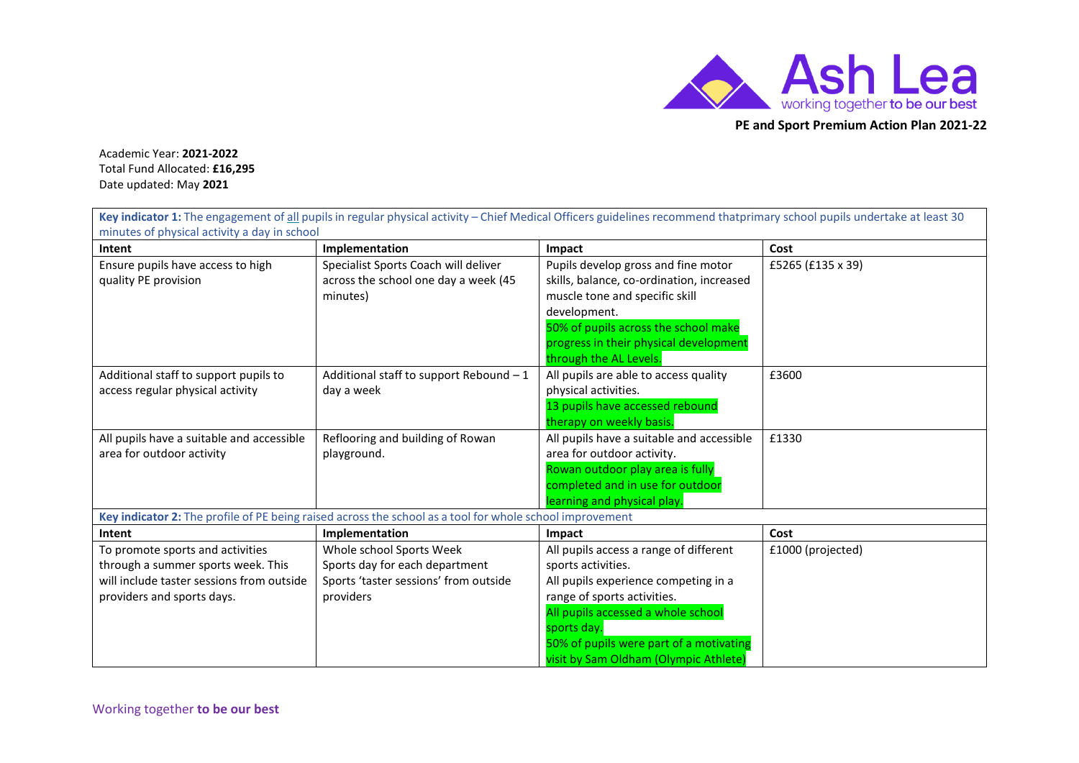

**PE and Sport Premium Action Plan 2021-22**

Academic Year: **2021-2022** Total Fund Allocated: **£16,295** Date updated: May **2021**

| minutes of physical activity a day in school                                                                                                      |                                                                                                                  | Key indicator 1: The engagement of all pupils in regular physical activity - Chief Medical Officers guidelines recommend that primary school pupils undertake at least 30                                                                                                    |                   |
|---------------------------------------------------------------------------------------------------------------------------------------------------|------------------------------------------------------------------------------------------------------------------|------------------------------------------------------------------------------------------------------------------------------------------------------------------------------------------------------------------------------------------------------------------------------|-------------------|
| Intent                                                                                                                                            | Implementation                                                                                                   | Impact                                                                                                                                                                                                                                                                       | Cost              |
| Ensure pupils have access to high<br>quality PE provision                                                                                         | Specialist Sports Coach will deliver<br>across the school one day a week (45<br>minutes)                         | Pupils develop gross and fine motor<br>skills, balance, co-ordination, increased<br>muscle tone and specific skill<br>development.<br>50% of pupils across the school make<br>progress in their physical development<br>through the AL Levels.                               | £5265 (£135 x 39) |
| Additional staff to support pupils to<br>access regular physical activity                                                                         | Additional staff to support Rebound - 1<br>day a week                                                            | All pupils are able to access quality<br>physical activities.<br>13 pupils have accessed rebound<br>therapy on weekly basis.                                                                                                                                                 | £3600             |
| All pupils have a suitable and accessible<br>area for outdoor activity                                                                            | Reflooring and building of Rowan<br>playground.                                                                  | All pupils have a suitable and accessible<br>area for outdoor activity.<br>Rowan outdoor play area is fully<br>completed and in use for outdoor<br>learning and physical play.                                                                                               | £1330             |
|                                                                                                                                                   | Key indicator 2: The profile of PE being raised across the school as a tool for whole school improvement         |                                                                                                                                                                                                                                                                              |                   |
| Intent                                                                                                                                            | Implementation                                                                                                   | Impact                                                                                                                                                                                                                                                                       | Cost              |
| To promote sports and activities<br>through a summer sports week. This<br>will include taster sessions from outside<br>providers and sports days. | Whole school Sports Week<br>Sports day for each department<br>Sports 'taster sessions' from outside<br>providers | All pupils access a range of different<br>sports activities.<br>All pupils experience competing in a<br>range of sports activities.<br>All pupils accessed a whole school<br>sports day.<br>50% of pupils were part of a motivating<br>visit by Sam Oldham (Olympic Athlete) | £1000 (projected) |